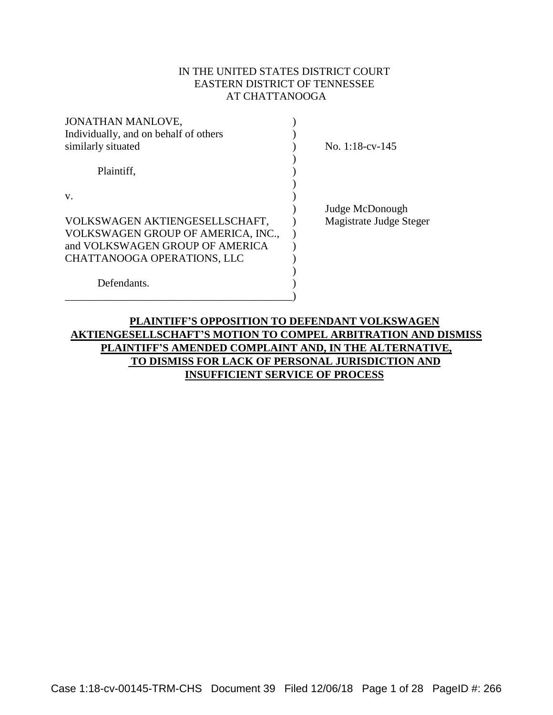## IN THE UNITED STATES DISTRICT COURT EASTERN DISTRICT OF TENNESSEE AT CHATTANOOGA

| JONATHAN MANLOVE,                     |                         |
|---------------------------------------|-------------------------|
| Individually, and on behalf of others |                         |
| similarly situated                    | No. 1:18-cv-145         |
| Plaintiff,                            |                         |
|                                       |                         |
| V.                                    |                         |
|                                       | Judge McDonough         |
| VOLKSWAGEN AKTIENGESELLSCHAFT,        | Magistrate Judge Steger |
| VOLKSWAGEN GROUP OF AMERICA, INC.,    |                         |
| and VOLKSWAGEN GROUP OF AMERICA       |                         |
| CHATTANOOGA OPERATIONS, LLC           |                         |
|                                       |                         |
| Defendants.                           |                         |
|                                       |                         |

# **PLAINTIFF'S OPPOSITION TO DEFENDANT VOLKSWAGEN AKTIENGESELLSCHAFT'S MOTION TO COMPEL ARBITRATION AND DISMISS PLAINTIFF'S AMENDED COMPLAINT AND, IN THE ALTERNATIVE, TO DISMISS FOR LACK OF PERSONAL JURISDICTION AND INSUFFICIENT SERVICE OF PROCESS**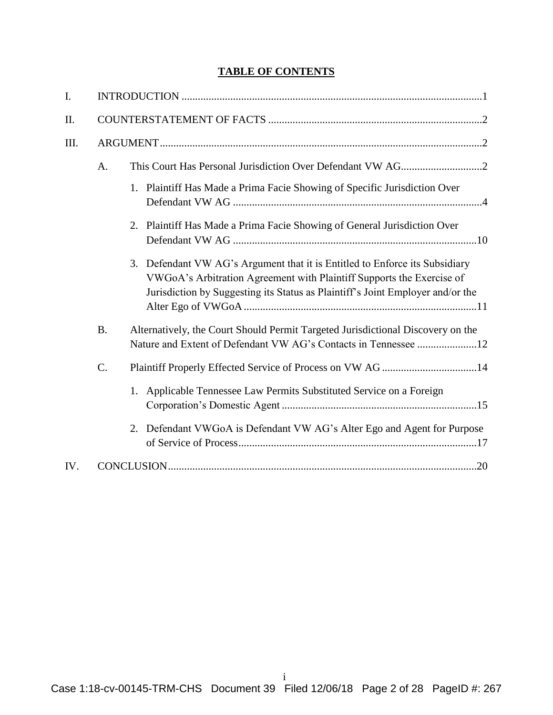# **TABLE OF CONTENTS**

| $\mathbf{I}$ . |           |                                                                                                                                                                                                                                        |
|----------------|-----------|----------------------------------------------------------------------------------------------------------------------------------------------------------------------------------------------------------------------------------------|
| II.            |           |                                                                                                                                                                                                                                        |
| III.           |           |                                                                                                                                                                                                                                        |
|                | A.        |                                                                                                                                                                                                                                        |
|                |           | 1. Plaintiff Has Made a Prima Facie Showing of Specific Jurisdiction Over                                                                                                                                                              |
|                |           | Plaintiff Has Made a Prima Facie Showing of General Jurisdiction Over<br>2.                                                                                                                                                            |
|                |           | 3. Defendant VW AG's Argument that it is Entitled to Enforce its Subsidiary<br>VWGoA's Arbitration Agreement with Plaintiff Supports the Exercise of<br>Jurisdiction by Suggesting its Status as Plaintiff's Joint Employer and/or the |
|                | <b>B.</b> | Alternatively, the Court Should Permit Targeted Jurisdictional Discovery on the<br>Nature and Extent of Defendant VW AG's Contacts in Tennessee 12                                                                                     |
|                | $C$ .     |                                                                                                                                                                                                                                        |
|                |           | Applicable Tennessee Law Permits Substituted Service on a Foreign<br>1.                                                                                                                                                                |
|                |           | Defendant VWGoA is Defendant VW AG's Alter Ego and Agent for Purpose<br>2.                                                                                                                                                             |
| IV.            |           |                                                                                                                                                                                                                                        |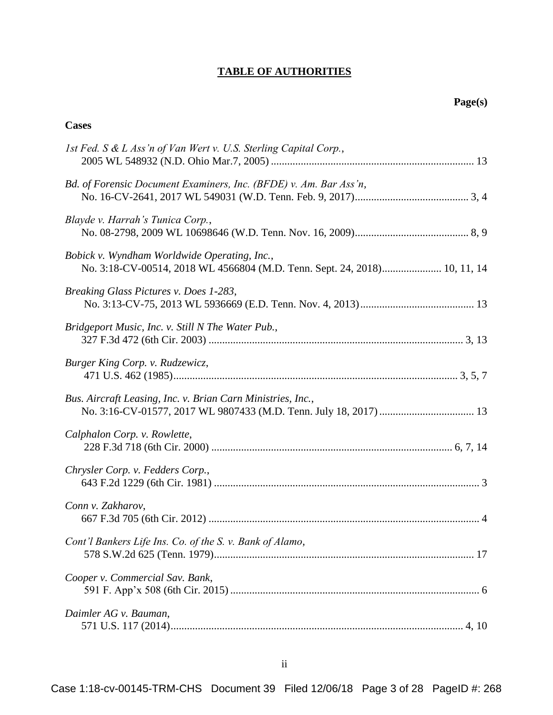# **TABLE OF AUTHORITIES**

## **Cases**

| 1st Fed. S & L Ass'n of Van Wert v. U.S. Sterling Capital Corp.,                                                          |
|---------------------------------------------------------------------------------------------------------------------------|
| Bd. of Forensic Document Examiners, Inc. (BFDE) v. Am. Bar Ass'n,                                                         |
| Blayde v. Harrah's Tunica Corp.,                                                                                          |
| Bobick v. Wyndham Worldwide Operating, Inc.,<br>No. 3:18-CV-00514, 2018 WL 4566804 (M.D. Tenn. Sept. 24, 2018) 10, 11, 14 |
| Breaking Glass Pictures v. Does 1-283,                                                                                    |
| Bridgeport Music, Inc. v. Still N The Water Pub.,                                                                         |
| Burger King Corp. v. Rudzewicz,                                                                                           |
| Bus. Aircraft Leasing, Inc. v. Brian Carn Ministries, Inc.,                                                               |
| Calphalon Corp. v. Rowlette,                                                                                              |
| Chrysler Corp. v. Fedders Corp.,                                                                                          |
| Conn v. Zakharov,                                                                                                         |
| Cont'l Bankers Life Ins. Co. of the S. v. Bank of Alamo,                                                                  |
| Cooper v. Commercial Sav. Bank,                                                                                           |
| Daimler AG v. Bauman,                                                                                                     |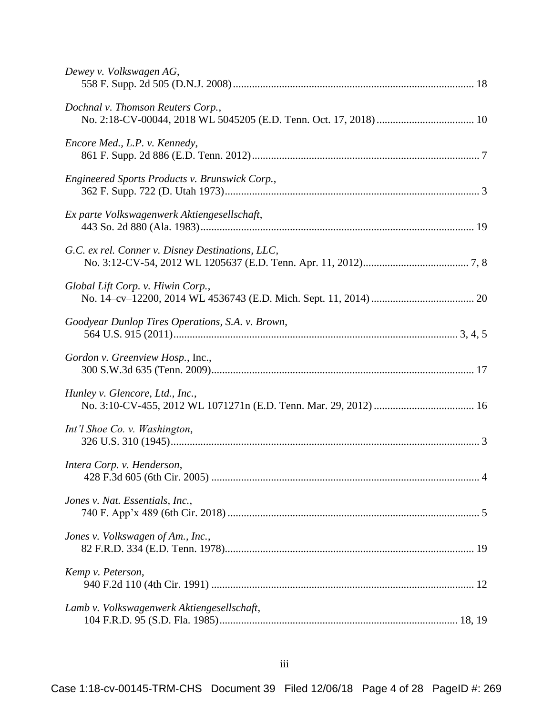| Dewey v. Volkswagen AG,                          |
|--------------------------------------------------|
| Dochnal v. Thomson Reuters Corp.,                |
| Encore Med., L.P. v. Kennedy,                    |
| Engineered Sports Products v. Brunswick Corp.,   |
| Ex parte Volkswagenwerk Aktiengesellschaft,      |
| G.C. ex rel. Conner v. Disney Destinations, LLC, |
| Global Lift Corp. v. Hiwin Corp.,                |
| Goodyear Dunlop Tires Operations, S.A. v. Brown, |
| Gordon v. Greenview Hosp., Inc.,                 |
| Hunley v. Glencore, Ltd., Inc.,                  |
| Int'l Shoe Co. v. Washington,                    |
| Intera Corp. v. Henderson,                       |
| Jones v. Nat. Essentials, Inc.,                  |
| Jones v. Volkswagen of Am., Inc.,                |
| Kemp v. Peterson,                                |
| Lamb v. Volkswagenwerk Aktiengesellschaft,       |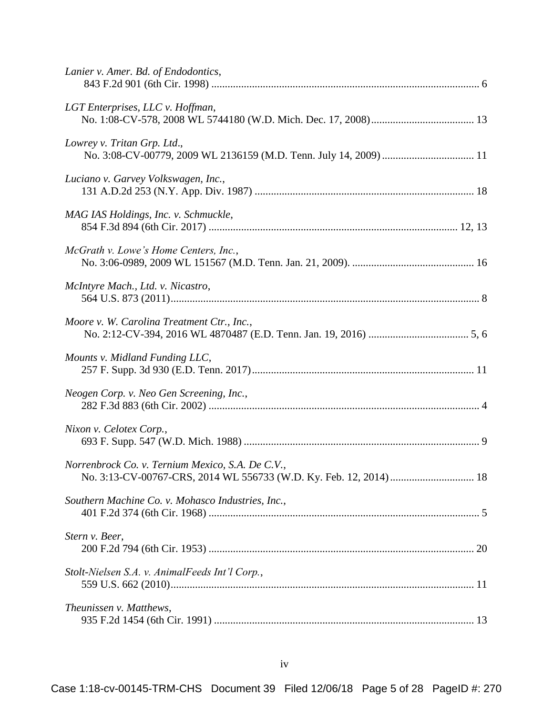| Lanier v. Amer. Bd. of Endodontics,               |  |
|---------------------------------------------------|--|
| LGT Enterprises, LLC v. Hoffman,                  |  |
| Lowrey v. Tritan Grp. Ltd.,                       |  |
| Luciano v. Garvey Volkswagen, Inc.,               |  |
| MAG IAS Holdings, Inc. v. Schmuckle,              |  |
| McGrath v. Lowe's Home Centers, Inc.,             |  |
| McIntyre Mach., Ltd. v. Nicastro,                 |  |
| Moore v. W. Carolina Treatment Ctr., Inc.,        |  |
| Mounts v. Midland Funding LLC,                    |  |
| Neogen Corp. v. Neo Gen Screening, Inc.,          |  |
| Nixon v. Celotex Corp.,                           |  |
| Norrenbrock Co. v. Ternium Mexico, S.A. De C.V.,  |  |
| Southern Machine Co. v. Mohasco Industries, Inc., |  |
| Stern v. Beer,                                    |  |
| Stolt-Nielsen S.A. v. AnimalFeeds Int'l Corp.,    |  |
| Theunissen v. Matthews,                           |  |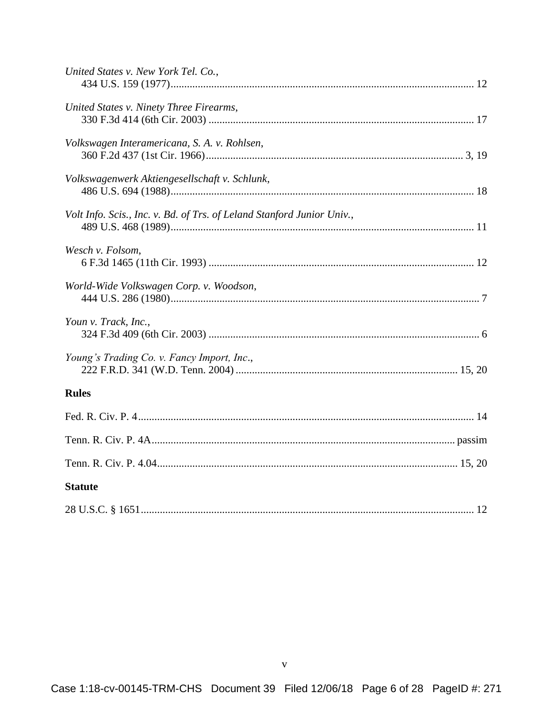| United States v. New York Tel. Co.,                                    |
|------------------------------------------------------------------------|
| United States v. Ninety Three Firearms,                                |
| Volkswagen Interamericana, S. A. v. Rohlsen,                           |
| Volkswagenwerk Aktiengesellschaft v. Schlunk,                          |
| Volt Info. Scis., Inc. v. Bd. of Trs. of Leland Stanford Junior Univ., |
| Wesch v. Folsom,                                                       |
| World-Wide Volkswagen Corp. v. Woodson,                                |
| Youn v. Track, Inc.,                                                   |
| Young's Trading Co. v. Fancy Import, Inc.,                             |
| <b>Rules</b>                                                           |
|                                                                        |
|                                                                        |
|                                                                        |
| <b>Statute</b>                                                         |
|                                                                        |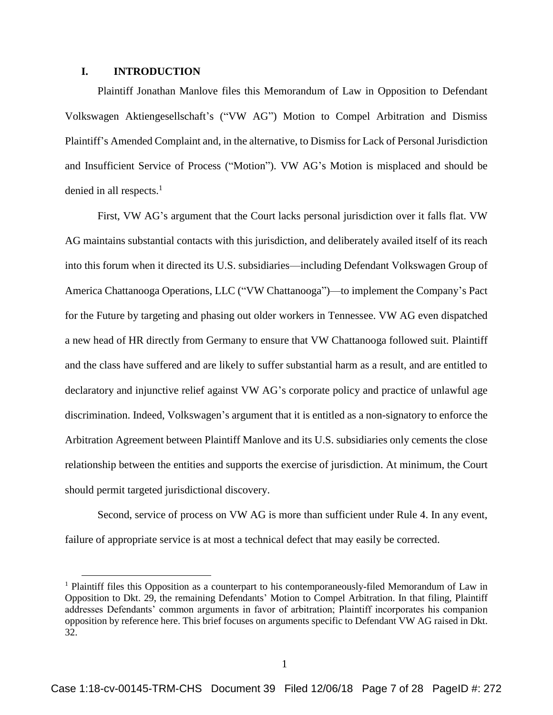### **I. INTRODUCTION**

 $\overline{a}$ 

Plaintiff Jonathan Manlove files this Memorandum of Law in Opposition to Defendant Volkswagen Aktiengesellschaft's ("VW AG") Motion to Compel Arbitration and Dismiss Plaintiff's Amended Complaint and, in the alternative, to Dismiss for Lack of Personal Jurisdiction and Insufficient Service of Process ("Motion"). VW AG's Motion is misplaced and should be denied in all respects. $<sup>1</sup>$ </sup>

First, VW AG's argument that the Court lacks personal jurisdiction over it falls flat. VW AG maintains substantial contacts with this jurisdiction, and deliberately availed itself of its reach into this forum when it directed its U.S. subsidiaries—including Defendant Volkswagen Group of America Chattanooga Operations, LLC ("VW Chattanooga")—to implement the Company's Pact for the Future by targeting and phasing out older workers in Tennessee. VW AG even dispatched a new head of HR directly from Germany to ensure that VW Chattanooga followed suit. Plaintiff and the class have suffered and are likely to suffer substantial harm as a result, and are entitled to declaratory and injunctive relief against VW AG's corporate policy and practice of unlawful age discrimination. Indeed, Volkswagen's argument that it is entitled as a non-signatory to enforce the Arbitration Agreement between Plaintiff Manlove and its U.S. subsidiaries only cements the close relationship between the entities and supports the exercise of jurisdiction. At minimum, the Court should permit targeted jurisdictional discovery.

Second, service of process on VW AG is more than sufficient under Rule 4. In any event, failure of appropriate service is at most a technical defect that may easily be corrected.

<sup>1</sup> Plaintiff files this Opposition as a counterpart to his contemporaneously-filed Memorandum of Law in Opposition to Dkt. 29, the remaining Defendants' Motion to Compel Arbitration. In that filing, Plaintiff addresses Defendants' common arguments in favor of arbitration; Plaintiff incorporates his companion opposition by reference here. This brief focuses on arguments specific to Defendant VW AG raised in Dkt. 32.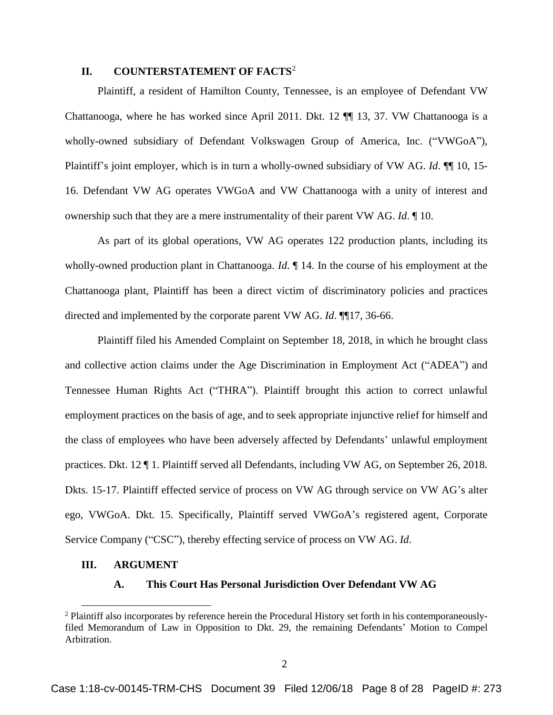### **II. COUNTERSTATEMENT OF FACTS**<sup>2</sup>

Plaintiff, a resident of Hamilton County, Tennessee, is an employee of Defendant VW Chattanooga, where he has worked since April 2011. Dkt. 12 ¶¶ 13, 37. VW Chattanooga is a wholly-owned subsidiary of Defendant Volkswagen Group of America, Inc. ("VWGoA"), Plaintiff's joint employer, which is in turn a wholly-owned subsidiary of VW AG. *Id*. ¶¶ 10, 15- 16. Defendant VW AG operates VWGoA and VW Chattanooga with a unity of interest and ownership such that they are a mere instrumentality of their parent VW AG. *Id*. ¶ 10.

As part of its global operations, VW AG operates 122 production plants, including its wholly-owned production plant in Chattanooga. *Id*. ¶ 14. In the course of his employment at the Chattanooga plant, Plaintiff has been a direct victim of discriminatory policies and practices directed and implemented by the corporate parent VW AG. *Id*. ¶¶17, 36-66.

Plaintiff filed his Amended Complaint on September 18, 2018, in which he brought class and collective action claims under the Age Discrimination in Employment Act ("ADEA") and Tennessee Human Rights Act ("THRA"). Plaintiff brought this action to correct unlawful employment practices on the basis of age, and to seek appropriate injunctive relief for himself and the class of employees who have been adversely affected by Defendants' unlawful employment practices. Dkt. 12 ¶ 1. Plaintiff served all Defendants, including VW AG, on September 26, 2018. Dkts. 15-17. Plaintiff effected service of process on VW AG through service on VW AG's alter ego, VWGoA. Dkt. 15. Specifically, Plaintiff served VWGoA's registered agent, Corporate Service Company ("CSC"), thereby effecting service of process on VW AG. *Id*.

#### **III. ARGUMENT**

 $\overline{a}$ 

#### **A. This Court Has Personal Jurisdiction Over Defendant VW AG**

<sup>2</sup> Plaintiff also incorporates by reference herein the Procedural History set forth in his contemporaneouslyfiled Memorandum of Law in Opposition to Dkt. 29, the remaining Defendants' Motion to Compel Arbitration.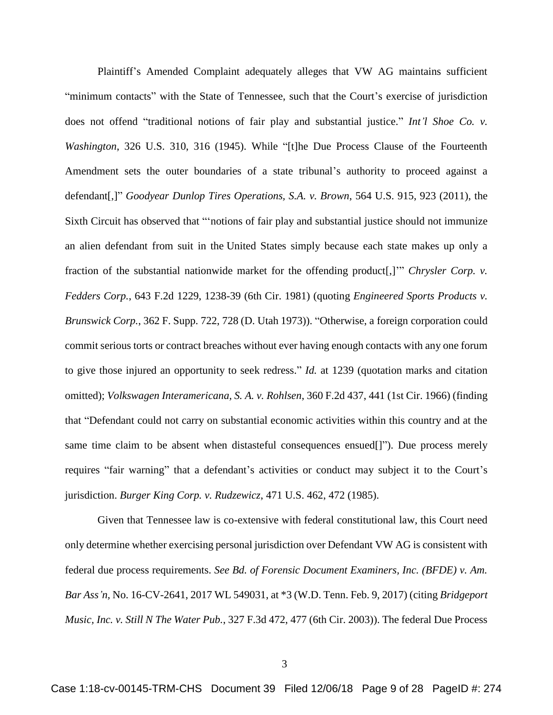Plaintiff's Amended Complaint adequately alleges that VW AG maintains sufficient "minimum contacts" with the State of Tennessee, such that the Court's exercise of jurisdiction does not offend "traditional notions of fair play and substantial justice." *Int'l Shoe Co. v. Washington*, 326 U.S. 310, 316 (1945). While "[t]he Due Process Clause of the Fourteenth Amendment sets the outer boundaries of a state tribunal's authority to proceed against a defendant[,]" *Goodyear Dunlop Tires Operations, S.A. v. Brown*, 564 U.S. 915, 923 (2011), the Sixth Circuit has observed that "'notions of fair play and substantial justice should not immunize an alien defendant from suit in the United States simply because each state makes up only a fraction of the substantial nationwide market for the offending product[,]'" *Chrysler Corp. v. Fedders Corp.*, 643 F.2d 1229, 1238-39 (6th Cir. 1981) (quoting *Engineered Sports Products v. Brunswick Corp.*, 362 F. Supp. 722, 728 (D. Utah 1973)). "Otherwise, a foreign corporation could commit serious torts or contract breaches without ever having enough contacts with any one forum to give those injured an opportunity to seek redress." *Id.* at 1239 (quotation marks and citation omitted); *Volkswagen Interamericana, S. A. v. Rohlsen*, 360 F.2d 437, 441 (1st Cir. 1966) (finding that "Defendant could not carry on substantial economic activities within this country and at the same time claim to be absent when distasteful consequences ensued[]"). Due process merely requires "fair warning" that a defendant's activities or conduct may subject it to the Court's jurisdiction. *Burger King Corp. v. Rudzewicz*, 471 U.S. 462, 472 (1985).

Given that Tennessee law is co-extensive with federal constitutional law, this Court need only determine whether exercising personal jurisdiction over Defendant VW AG is consistent with federal due process requirements. *See Bd. of Forensic Document Examiners, Inc. (BFDE) v. Am. Bar Ass'n,* No. 16-CV-2641, 2017 WL 549031, at \*3 (W.D. Tenn. Feb. 9, 2017) (citing *Bridgeport Music, Inc. v. Still N The Water Pub.*, 327 F.3d 472, 477 (6th Cir. 2003)). The federal Due Process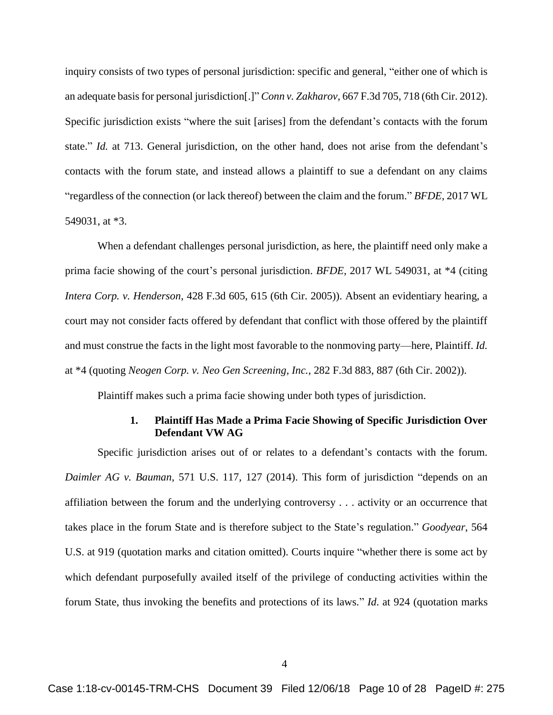inquiry consists of two types of personal jurisdiction: specific and general, "either one of which is an adequate basis for personal jurisdiction[.]" *Conn v. Zakharov*, 667 F.3d 705, 718 (6th Cir. 2012). Specific jurisdiction exists "where the suit [arises] from the defendant's contacts with the forum state." *Id.* at 713. General jurisdiction, on the other hand, does not arise from the defendant's contacts with the forum state, and instead allows a plaintiff to sue a defendant on any claims "regardless of the connection (or lack thereof) between the claim and the forum." *BFDE*, 2017 WL 549031, at \*3.

When a defendant challenges personal jurisdiction, as here, the plaintiff need only make a prima facie showing of the court's personal jurisdiction. *BFDE*, 2017 WL 549031, at \*4 (citing *Intera Corp. v. Henderson*, 428 F.3d 605, 615 (6th Cir. 2005)). Absent an evidentiary hearing, a court may not consider facts offered by defendant that conflict with those offered by the plaintiff and must construe the facts in the light most favorable to the nonmoving party—here, Plaintiff. *Id.*  at \*4 (quoting *Neogen Corp. v. Neo Gen Screening, Inc.*, 282 F.3d 883, 887 (6th Cir. 2002)).

Plaintiff makes such a prima facie showing under both types of jurisdiction.

## **1. Plaintiff Has Made a Prima Facie Showing of Specific Jurisdiction Over Defendant VW AG**

Specific jurisdiction arises out of or relates to a defendant's contacts with the forum. *Daimler AG v. Bauman*, 571 U.S. 117, 127 (2014). This form of jurisdiction "depends on an affiliation between the forum and the underlying controversy . . . activity or an occurrence that takes place in the forum State and is therefore subject to the State's regulation." *Goodyear*, 564 U.S. at 919 (quotation marks and citation omitted). Courts inquire "whether there is some act by which defendant purposefully availed itself of the privilege of conducting activities within the forum State, thus invoking the benefits and protections of its laws." *Id*. at 924 (quotation marks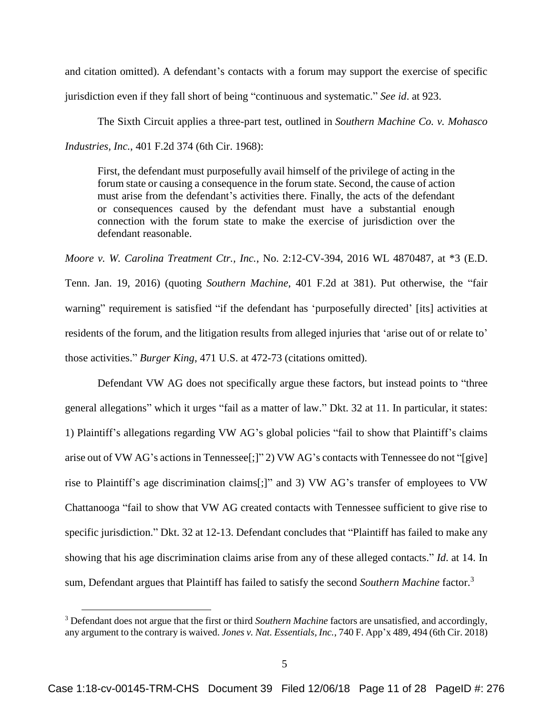and citation omitted). A defendant's contacts with a forum may support the exercise of specific jurisdiction even if they fall short of being "continuous and systematic." *See id*. at 923.

The Sixth Circuit applies a three-part test, outlined in *Southern Machine Co. v. Mohasco Industries, Inc.*, 401 F.2d 374 (6th Cir. 1968):

First, the defendant must purposefully avail himself of the privilege of acting in the forum state or causing a consequence in the forum state. Second, the cause of action must arise from the defendant's activities there. Finally, the acts of the defendant or consequences caused by the defendant must have a substantial enough connection with the forum state to make the exercise of jurisdiction over the defendant reasonable.

*Moore v. W. Carolina Treatment Ctr., Inc.*, No. 2:12-CV-394, 2016 WL 4870487, at \*3 (E.D. Tenn. Jan. 19, 2016) (quoting *Southern Machine*, 401 F.2d at 381). Put otherwise, the "fair warning" requirement is satisfied "if the defendant has 'purposefully directed' [its] activities at residents of the forum, and the litigation results from alleged injuries that 'arise out of or relate to' those activities." *Burger King*, 471 U.S. at 472-73 (citations omitted).

Defendant VW AG does not specifically argue these factors, but instead points to "three general allegations" which it urges "fail as a matter of law." Dkt. 32 at 11. In particular, it states: 1) Plaintiff's allegations regarding VW AG's global policies "fail to show that Plaintiff's claims arise out of VW AG's actions in Tennessee[;]" 2) VW AG's contacts with Tennessee do not "[give] rise to Plaintiff's age discrimination claims[;]" and 3) VW AG's transfer of employees to VW Chattanooga "fail to show that VW AG created contacts with Tennessee sufficient to give rise to specific jurisdiction." Dkt. 32 at 12-13. Defendant concludes that "Plaintiff has failed to make any showing that his age discrimination claims arise from any of these alleged contacts." *Id*. at 14. In sum, Defendant argues that Plaintiff has failed to satisfy the second *Southern Machine* factor.<sup>3</sup>

<sup>3</sup> Defendant does not argue that the first or third *Southern Machine* factors are unsatisfied, and accordingly, any argument to the contrary is waived. *Jones v. Nat. Essentials, Inc.*, 740 F. App'x 489, 494 (6th Cir. 2018)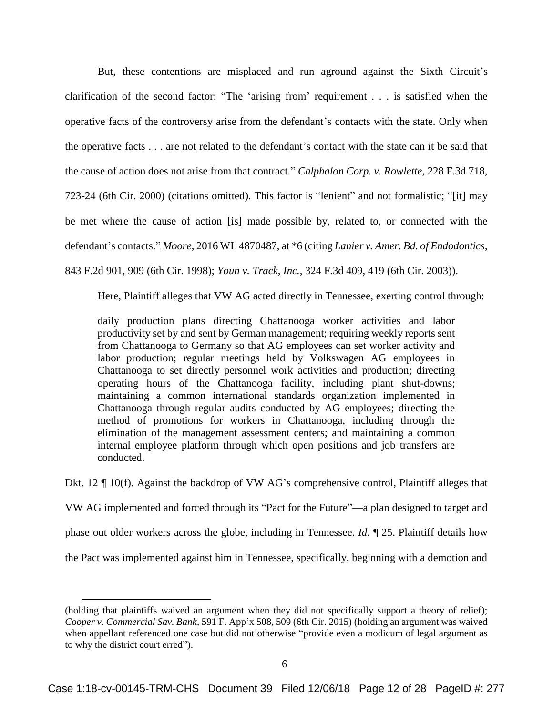But, these contentions are misplaced and run aground against the Sixth Circuit's clarification of the second factor: "The 'arising from' requirement . . . is satisfied when the operative facts of the controversy arise from the defendant's contacts with the state. Only when the operative facts . . . are not related to the defendant's contact with the state can it be said that the cause of action does not arise from that contract." *Calphalon Corp. v. Rowlette*, 228 F.3d 718, 723-24 (6th Cir. 2000) (citations omitted). This factor is "lenient" and not formalistic; "[it] may be met where the cause of action [is] made possible by, related to, or connected with the defendant's contacts." *Moore*, 2016 WL 4870487, at \*6 (citing *Lanier v. Amer. Bd. of Endodontics*, 843 F.2d 901, 909 (6th Cir. 1998); *Youn v. Track, Inc.*, 324 F.3d 409, 419 (6th Cir. 2003)).

Here, Plaintiff alleges that VW AG acted directly in Tennessee, exerting control through:

daily production plans directing Chattanooga worker activities and labor productivity set by and sent by German management; requiring weekly reports sent from Chattanooga to Germany so that AG employees can set worker activity and labor production; regular meetings held by Volkswagen AG employees in Chattanooga to set directly personnel work activities and production; directing operating hours of the Chattanooga facility, including plant shut-downs; maintaining a common international standards organization implemented in Chattanooga through regular audits conducted by AG employees; directing the method of promotions for workers in Chattanooga, including through the elimination of the management assessment centers; and maintaining a common internal employee platform through which open positions and job transfers are conducted.

Dkt. 12  $\P$  10(f). Against the backdrop of VW AG's comprehensive control, Plaintiff alleges that VW AG implemented and forced through its "Pact for the Future"—a plan designed to target and phase out older workers across the globe, including in Tennessee. *Id*. ¶ 25. Plaintiff details how the Pact was implemented against him in Tennessee, specifically, beginning with a demotion and

<sup>(</sup>holding that plaintiffs waived an argument when they did not specifically support a theory of relief); *Cooper v. Commercial Sav. Bank*, 591 F. App'x 508, 509 (6th Cir. 2015) (holding an argument was waived when appellant referenced one case but did not otherwise "provide even a modicum of legal argument as to why the district court erred").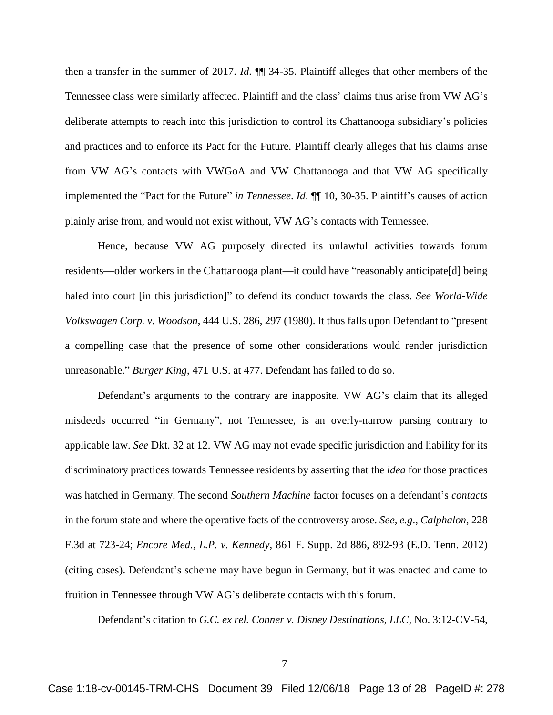then a transfer in the summer of 2017. *Id*. ¶¶ 34-35. Plaintiff alleges that other members of the Tennessee class were similarly affected. Plaintiff and the class' claims thus arise from VW AG's deliberate attempts to reach into this jurisdiction to control its Chattanooga subsidiary's policies and practices and to enforce its Pact for the Future. Plaintiff clearly alleges that his claims arise from VW AG's contacts with VWGoA and VW Chattanooga and that VW AG specifically implemented the "Pact for the Future" *in Tennessee*. *Id*. ¶¶ 10, 30-35. Plaintiff's causes of action plainly arise from, and would not exist without, VW AG's contacts with Tennessee.

Hence, because VW AG purposely directed its unlawful activities towards forum residents—older workers in the Chattanooga plant—it could have "reasonably anticipate[d] being haled into court [in this jurisdiction]" to defend its conduct towards the class. *See World-Wide Volkswagen Corp. v. Woodson*, 444 U.S. 286, 297 (1980). It thus falls upon Defendant to "present a compelling case that the presence of some other considerations would render jurisdiction unreasonable." *Burger King*, 471 U.S. at 477. Defendant has failed to do so.

Defendant's arguments to the contrary are inapposite. VW AG's claim that its alleged misdeeds occurred "in Germany", not Tennessee, is an overly-narrow parsing contrary to applicable law. *See* Dkt. 32 at 12. VW AG may not evade specific jurisdiction and liability for its discriminatory practices towards Tennessee residents by asserting that the *idea* for those practices was hatched in Germany. The second *Southern Machine* factor focuses on a defendant's *contacts* in the forum state and where the operative facts of the controversy arose. *See, e.g*., *Calphalon*, 228 F.3d at 723-24; *Encore Med., L.P. v. Kennedy*, 861 F. Supp. 2d 886, 892-93 (E.D. Tenn. 2012) (citing cases). Defendant's scheme may have begun in Germany, but it was enacted and came to fruition in Tennessee through VW AG's deliberate contacts with this forum.

Defendant's citation to *G.C. ex rel. Conner v. Disney Destinations, LLC*, No. 3:12-CV-54,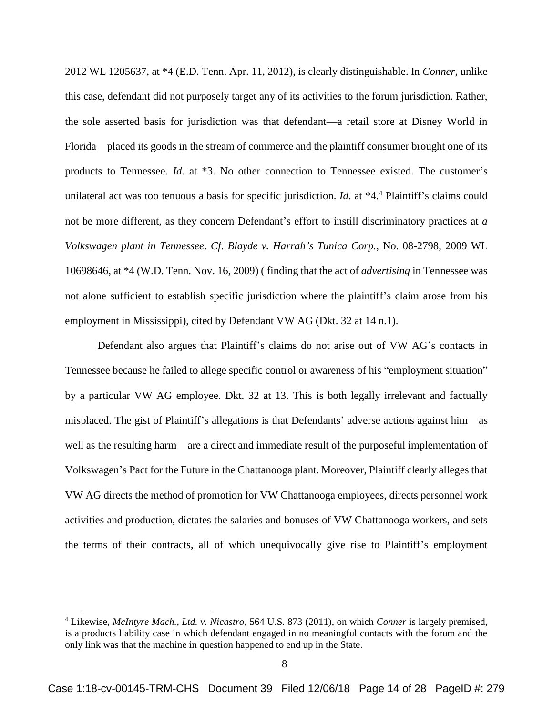2012 WL 1205637, at \*4 (E.D. Tenn. Apr. 11, 2012), is clearly distinguishable. In *Conner*, unlike this case, defendant did not purposely target any of its activities to the forum jurisdiction. Rather, the sole asserted basis for jurisdiction was that defendant—a retail store at Disney World in Florida—placed its goods in the stream of commerce and the plaintiff consumer brought one of its products to Tennessee. *Id*. at \*3. No other connection to Tennessee existed. The customer's unilateral act was too tenuous a basis for specific jurisdiction. *Id*. at \*4.<sup>4</sup> Plaintiff's claims could not be more different, as they concern Defendant's effort to instill discriminatory practices at *a Volkswagen plant in Tennessee*. *Cf*. *Blayde v. Harrah's Tunica Corp.*, No. 08-2798, 2009 WL 10698646, at \*4 (W.D. Tenn. Nov. 16, 2009) ( finding that the act of *advertising* in Tennessee was not alone sufficient to establish specific jurisdiction where the plaintiff's claim arose from his employment in Mississippi), cited by Defendant VW AG (Dkt. 32 at 14 n.1).

Defendant also argues that Plaintiff's claims do not arise out of VW AG's contacts in Tennessee because he failed to allege specific control or awareness of his "employment situation" by a particular VW AG employee. Dkt. 32 at 13. This is both legally irrelevant and factually misplaced. The gist of Plaintiff's allegations is that Defendants' adverse actions against him—as well as the resulting harm—are a direct and immediate result of the purposeful implementation of Volkswagen's Pact for the Future in the Chattanooga plant. Moreover, Plaintiff clearly alleges that VW AG directs the method of promotion for VW Chattanooga employees, directs personnel work activities and production, dictates the salaries and bonuses of VW Chattanooga workers, and sets the terms of their contracts, all of which unequivocally give rise to Plaintiff's employment

<sup>4</sup> Likewise, *McIntyre Mach., Ltd. v. Nicastro*, 564 U.S. 873 (2011), on which *Conner* is largely premised, is a products liability case in which defendant engaged in no meaningful contacts with the forum and the only link was that the machine in question happened to end up in the State.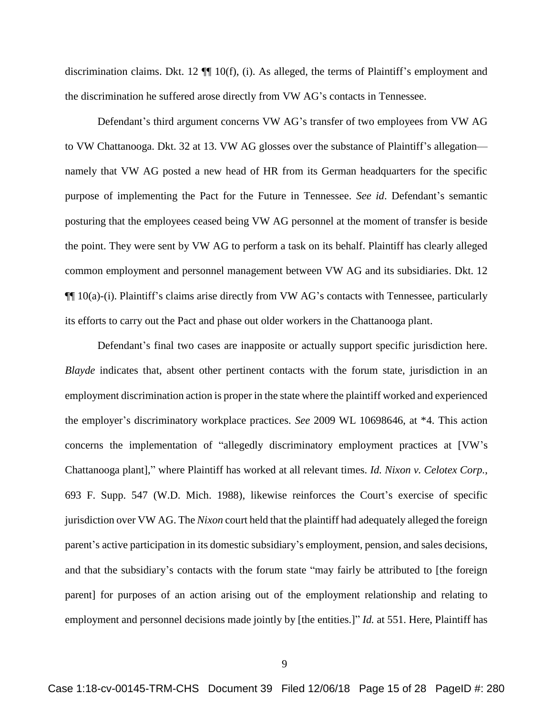discrimination claims. Dkt. 12 ¶¶ 10(f), (i). As alleged, the terms of Plaintiff's employment and the discrimination he suffered arose directly from VW AG's contacts in Tennessee.

Defendant's third argument concerns VW AG's transfer of two employees from VW AG to VW Chattanooga. Dkt. 32 at 13. VW AG glosses over the substance of Plaintiff's allegation namely that VW AG posted a new head of HR from its German headquarters for the specific purpose of implementing the Pact for the Future in Tennessee. *See id*. Defendant's semantic posturing that the employees ceased being VW AG personnel at the moment of transfer is beside the point. They were sent by VW AG to perform a task on its behalf. Plaintiff has clearly alleged common employment and personnel management between VW AG and its subsidiaries. Dkt. 12  $\P\P$  10(a)-(i). Plaintiff's claims arise directly from VW AG's contacts with Tennessee, particularly its efforts to carry out the Pact and phase out older workers in the Chattanooga plant.

Defendant's final two cases are inapposite or actually support specific jurisdiction here. *Blayde* indicates that, absent other pertinent contacts with the forum state, jurisdiction in an employment discrimination action is proper in the state where the plaintiff worked and experienced the employer's discriminatory workplace practices. *See* 2009 WL 10698646, at \*4. This action concerns the implementation of "allegedly discriminatory employment practices at [VW's Chattanooga plant]," where Plaintiff has worked at all relevant times. *Id. Nixon v. Celotex Corp.*, 693 F. Supp. 547 (W.D. Mich. 1988), likewise reinforces the Court's exercise of specific jurisdiction over VW AG. The *Nixon* court held that the plaintiff had adequately alleged the foreign parent's active participation in its domestic subsidiary's employment, pension, and sales decisions, and that the subsidiary's contacts with the forum state "may fairly be attributed to [the foreign parent] for purposes of an action arising out of the employment relationship and relating to employment and personnel decisions made jointly by [the entities.]" *Id.* at 551. Here, Plaintiff has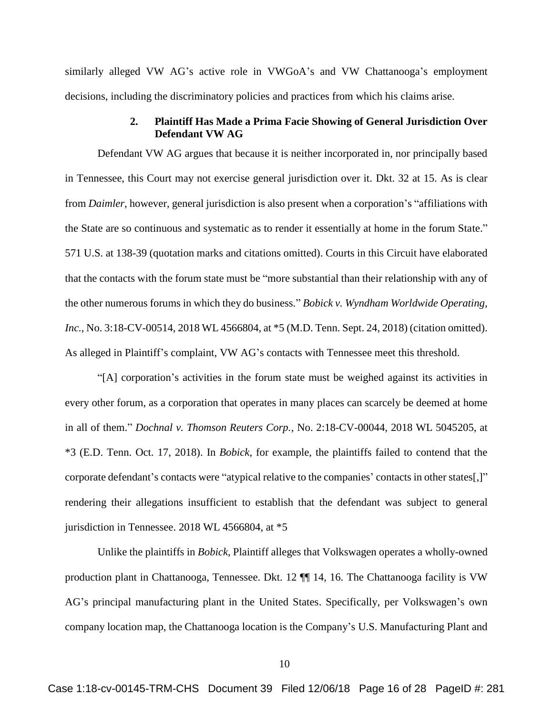similarly alleged VW AG's active role in VWGoA's and VW Chattanooga's employment decisions, including the discriminatory policies and practices from which his claims arise.

#### **2. Plaintiff Has Made a Prima Facie Showing of General Jurisdiction Over Defendant VW AG**

Defendant VW AG argues that because it is neither incorporated in, nor principally based in Tennessee, this Court may not exercise general jurisdiction over it. Dkt. 32 at 15. As is clear from *Daimler*, however, general jurisdiction is also present when a corporation's "affiliations with the State are so continuous and systematic as to render it essentially at home in the forum State." 571 U.S. at 138-39 (quotation marks and citations omitted). Courts in this Circuit have elaborated that the contacts with the forum state must be "more substantial than their relationship with any of the other numerous forums in which they do business." *Bobick v. Wyndham Worldwide Operating, Inc.*, No. 3:18-CV-00514, 2018 WL 4566804, at  $*5$  (M.D. Tenn. Sept. 24, 2018) (citation omitted). As alleged in Plaintiff's complaint, VW AG's contacts with Tennessee meet this threshold.

"[A] corporation's activities in the forum state must be weighed against its activities in every other forum, as a corporation that operates in many places can scarcely be deemed at home in all of them." *Dochnal v. Thomson Reuters Corp.*, No. 2:18-CV-00044, 2018 WL 5045205, at \*3 (E.D. Tenn. Oct. 17, 2018). In *Bobick*, for example, the plaintiffs failed to contend that the corporate defendant's contacts were "atypical relative to the companies' contacts in other states[,]" rendering their allegations insufficient to establish that the defendant was subject to general jurisdiction in Tennessee. 2018 WL 4566804, at \*5

Unlike the plaintiffs in *Bobick*, Plaintiff alleges that Volkswagen operates a wholly-owned production plant in Chattanooga, Tennessee. Dkt. 12 ¶¶ 14, 16. The Chattanooga facility is VW AG's principal manufacturing plant in the United States. Specifically, per Volkswagen's own company location map, the Chattanooga location is the Company's U.S. Manufacturing Plant and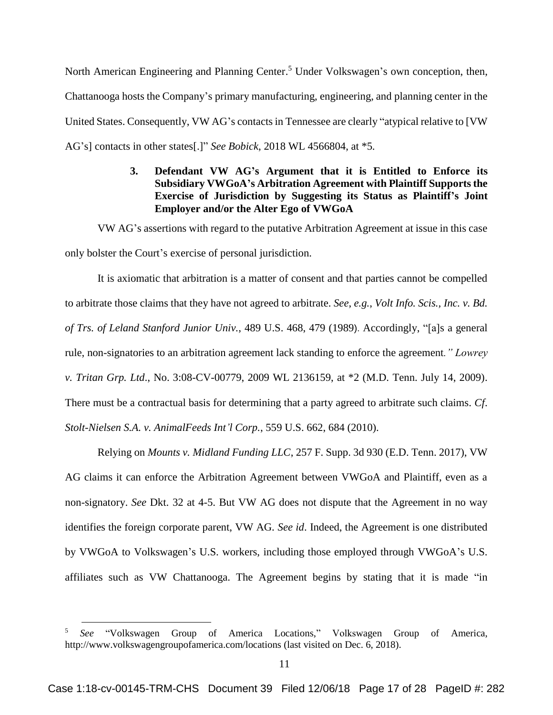North American Engineering and Planning Center.<sup>5</sup> Under Volkswagen's own conception, then, Chattanooga hosts the Company's primary manufacturing, engineering, and planning center in the United States. Consequently, VW AG's contacts in Tennessee are clearly "atypical relative to [VW AG's] contacts in other states[.]" *See Bobick*, 2018 WL 4566804, at \*5*.* 

## **3. Defendant VW AG's Argument that it is Entitled to Enforce its Subsidiary VWGoA's Arbitration Agreement with Plaintiff Supports the Exercise of Jurisdiction by Suggesting its Status as Plaintiff's Joint Employer and/or the Alter Ego of VWGoA**

VW AG's assertions with regard to the putative Arbitration Agreement at issue in this case only bolster the Court's exercise of personal jurisdiction.

It is axiomatic that arbitration is a matter of consent and that parties cannot be compelled to arbitrate those claims that they have not agreed to arbitrate. *See*, *e.g.*, *Volt Info. Scis., Inc. v. Bd. of Trs. of Leland Stanford Junior Univ.*, 489 U.S. 468, 479 (1989). Accordingly, "[a]s a general rule, non-signatories to an arbitration agreement lack standing to enforce the agreement*." Lowrey v. Tritan Grp. Ltd*., No. 3:08-CV-00779, 2009 WL 2136159, at \*2 (M.D. Tenn. July 14, 2009). There must be a contractual basis for determining that a party agreed to arbitrate such claims. *Cf*. *Stolt-Nielsen S.A. v. AnimalFeeds Int'l Corp.*, 559 U.S. 662, 684 (2010).

Relying on *Mounts v. Midland Funding LLC*, 257 F. Supp. 3d 930 (E.D. Tenn. 2017), VW AG claims it can enforce the Arbitration Agreement between VWGoA and Plaintiff, even as a non-signatory. *See* Dkt. 32 at 4-5. But VW AG does not dispute that the Agreement in no way identifies the foreign corporate parent, VW AG. *See id*. Indeed, the Agreement is one distributed by VWGoA to Volkswagen's U.S. workers, including those employed through VWGoA's U.S. affiliates such as VW Chattanooga. The Agreement begins by stating that it is made "in

<sup>5</sup> *See* "Volkswagen Group of America Locations," Volkswagen Group of America, http://www.volkswagengroupofamerica.com/locations (last visited on Dec. 6, 2018).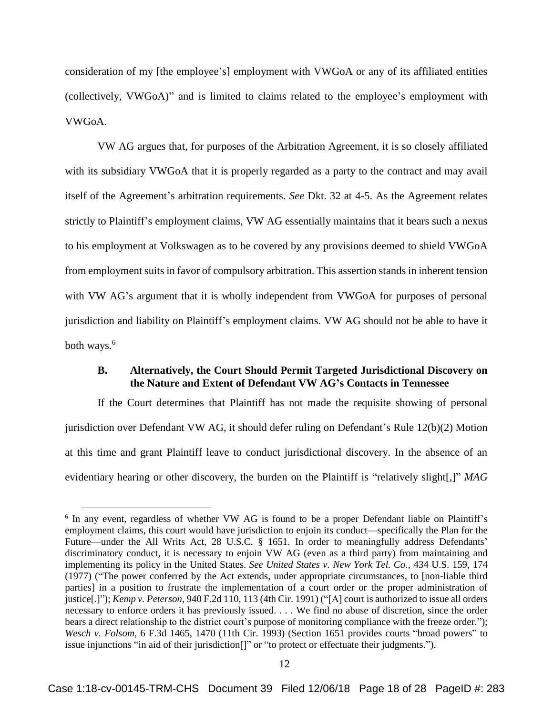consideration of my [the employee's] employment with VWGoA or any of its affiliated entities (collectively, VWGoA)" and is limited to claims related to the employee's employment with VWGoA.

VW AG argues that, for purposes of the Arbitration Agreement, it is so closely affiliated with its subsidiary VWGoA that it is properly regarded as a party to the contract and may avail itself of the Agreement's arbitration requirements. *See* Dkt. 32 at 4-5. As the Agreement relates strictly to Plaintiff's employment claims, VW AG essentially maintains that it bears such a nexus to his employment at Volkswagen as to be covered by any provisions deemed to shield VWGoA from employment suits in favor of compulsory arbitration. This assertion stands in inherent tension with VW AG's argument that it is wholly independent from VWGoA for purposes of personal jurisdiction and liability on Plaintiff's employment claims. VW AG should not be able to have it both ways.<sup>6</sup>

#### **B. Alternatively, the Court Should Permit Targeted Jurisdictional Discovery on the Nature and Extent of Defendant VW AG's Contacts in Tennessee**

If the Court determines that Plaintiff has not made the requisite showing of personal jurisdiction over Defendant VW AG, it should defer ruling on Defendant's Rule 12(b)(2) Motion at this time and grant Plaintiff leave to conduct jurisdictional discovery. In the absence of an evidentiary hearing or other discovery, the burden on the Plaintiff is "relatively slight[,]" *MAG* 

<sup>&</sup>lt;sup>6</sup> In any event, regardless of whether VW AG is found to be a proper Defendant liable on Plaintiff's employment claims, this court would have jurisdiction to enjoin its conduct—specifically the Plan for the Future—under the All Writs Act, 28 U.S.C. § 1651. In order to meaningfully address Defendants' discriminatory conduct, it is necessary to enjoin VW AG (even as a third party) from maintaining and implementing its policy in the United States. *See United States v. New York Tel. Co.*, 434 U.S. 159, 174 (1977) ("The power conferred by the Act extends, under appropriate circumstances, to [non-liable third parties] in a position to frustrate the implementation of a court order or the proper administration of justice[.]"); *Kemp v. Peterson*, 940 F.2d 110, 113 (4th Cir. 1991) ("[A] court is authorized to issue all orders necessary to enforce orders it has previously issued. . . . We find no abuse of discretion, since the order bears a direct relationship to the district court's purpose of monitoring compliance with the freeze order."); *Wesch v. Folsom*, 6 F.3d 1465, 1470 (11th Cir. 1993) (Section 1651 provides courts "broad powers" to issue injunctions "in aid of their jurisdiction[]" or "to protect or effectuate their judgments.").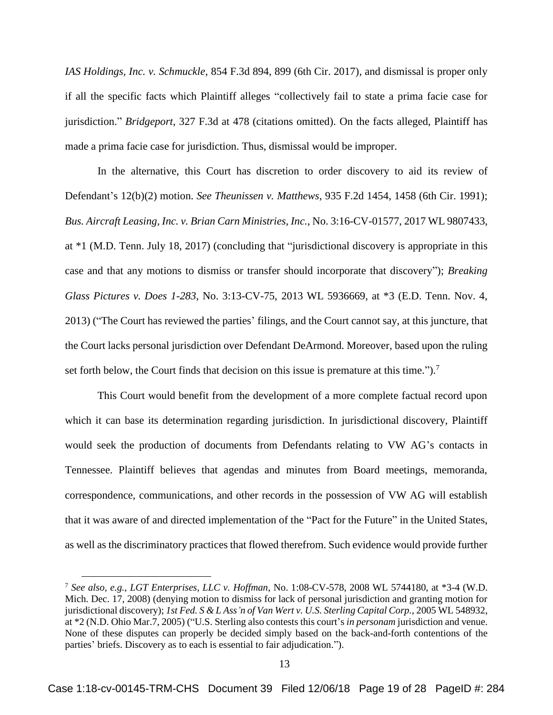*IAS Holdings, Inc. v. Schmuckle*, 854 F.3d 894, 899 (6th Cir. 2017), and dismissal is proper only if all the specific facts which Plaintiff alleges "collectively fail to state a prima facie case for jurisdiction." *Bridgeport*, 327 F.3d at 478 (citations omitted). On the facts alleged, Plaintiff has made a prima facie case for jurisdiction. Thus, dismissal would be improper.

In the alternative, this Court has discretion to order discovery to aid its review of Defendant's 12(b)(2) motion. *See Theunissen v. Matthews*, 935 F.2d 1454, 1458 (6th Cir. 1991); *Bus. Aircraft Leasing, Inc. v. Brian Carn Ministries, Inc.*, No. 3:16-CV-01577, 2017 WL 9807433, at \*1 (M.D. Tenn. July 18, 2017) (concluding that "jurisdictional discovery is appropriate in this case and that any motions to dismiss or transfer should incorporate that discovery"); *Breaking Glass Pictures v. Does 1-283*, No. 3:13-CV-75, 2013 WL 5936669, at \*3 (E.D. Tenn. Nov. 4, 2013) ("The Court has reviewed the parties' filings, and the Court cannot say, at this juncture, that the Court lacks personal jurisdiction over Defendant DeArmond. Moreover, based upon the ruling set forth below, the Court finds that decision on this issue is premature at this time.").<sup>7</sup>

This Court would benefit from the development of a more complete factual record upon which it can base its determination regarding jurisdiction. In jurisdictional discovery, Plaintiff would seek the production of documents from Defendants relating to VW AG's contacts in Tennessee. Plaintiff believes that agendas and minutes from Board meetings, memoranda, correspondence, communications, and other records in the possession of VW AG will establish that it was aware of and directed implementation of the "Pact for the Future" in the United States, as well as the discriminatory practices that flowed therefrom. Such evidence would provide further

<sup>7</sup> *See also, e.g., LGT Enterprises, LLC v. Hoffman*, No. 1:08-CV-578, 2008 WL 5744180, at \*3-4 (W.D. Mich. Dec. 17, 2008) (denying motion to dismiss for lack of personal jurisdiction and granting motion for jurisdictional discovery); *1st Fed. S & L Ass'n of Van Wert v. U.S. Sterling Capital Corp.*, 2005 WL 548932, at \*2 (N.D. Ohio Mar.7, 2005) ("U.S. Sterling also contests this court's *in personam* jurisdiction and venue. None of these disputes can properly be decided simply based on the back-and-forth contentions of the parties' briefs. Discovery as to each is essential to fair adjudication.").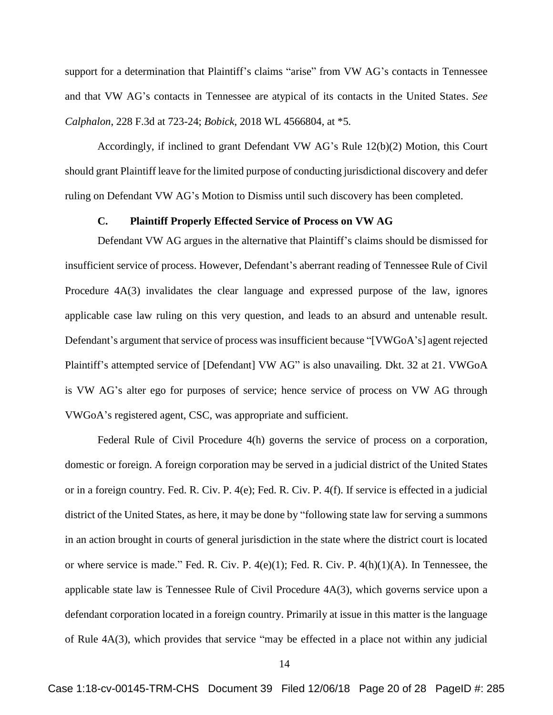support for a determination that Plaintiff's claims "arise" from VW AG's contacts in Tennessee and that VW AG's contacts in Tennessee are atypical of its contacts in the United States. *See Calphalon*, 228 F.3d at 723-24; *Bobick*, 2018 WL 4566804, at \*5*.*

Accordingly, if inclined to grant Defendant VW AG's Rule 12(b)(2) Motion, this Court should grant Plaintiff leave for the limited purpose of conducting jurisdictional discovery and defer ruling on Defendant VW AG's Motion to Dismiss until such discovery has been completed.

#### **C. Plaintiff Properly Effected Service of Process on VW AG**

Defendant VW AG argues in the alternative that Plaintiff's claims should be dismissed for insufficient service of process. However, Defendant's aberrant reading of Tennessee Rule of Civil Procedure 4A(3) invalidates the clear language and expressed purpose of the law, ignores applicable case law ruling on this very question, and leads to an absurd and untenable result. Defendant's argument that service of process was insufficient because "[VWGoA's] agent rejected Plaintiff's attempted service of [Defendant] VW AG" is also unavailing. Dkt. 32 at 21. VWGoA is VW AG's alter ego for purposes of service; hence service of process on VW AG through VWGoA's registered agent, CSC, was appropriate and sufficient.

Federal Rule of Civil Procedure 4(h) governs the service of process on a corporation, domestic or foreign. A foreign corporation may be served in a judicial district of the United States or in a foreign country. Fed. R. Civ. P. 4(e); Fed. R. Civ. P. 4(f). If service is effected in a judicial district of the United States, as here, it may be done by "following state law for serving a summons in an action brought in courts of general jurisdiction in the state where the district court is located or where service is made." Fed. R. Civ. P.  $4(e)(1)$ ; Fed. R. Civ. P.  $4(h)(1)(A)$ . In Tennessee, the applicable state law is Tennessee Rule of Civil Procedure 4A(3), which governs service upon a defendant corporation located in a foreign country. Primarily at issue in this matter is the language of Rule 4A(3), which provides that service "may be effected in a place not within any judicial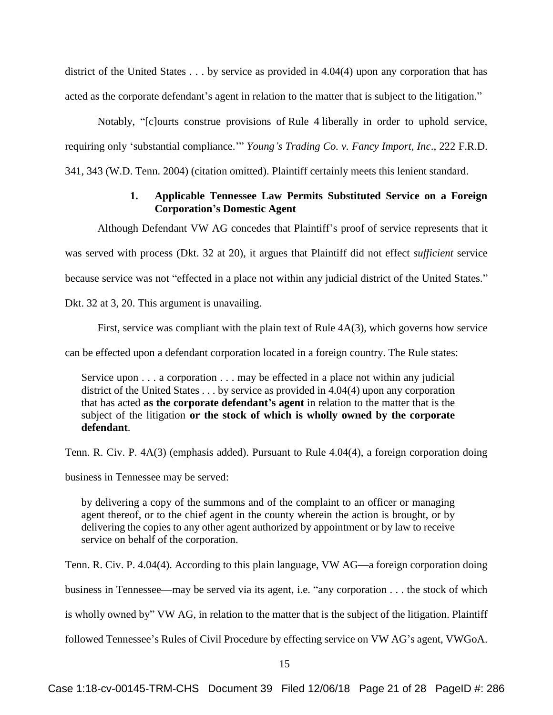district of the United States . . . by service as provided in 4.04(4) upon any corporation that has acted as the corporate defendant's agent in relation to the matter that is subject to the litigation."

Notably, "[c]ourts construe provisions of [Rule 4](https://1.next.westlaw.com/Link/Document/FullText?findType=L&pubNum=1004365&cite=USFRCPR4&originatingDoc=I5bf94944542411d9a99c85a9e6023ffa&refType=LQ&originationContext=document&transitionType=DocumentItem&contextData=(sc.Keycite)) liberally in order to uphold service, requiring only 'substantial compliance.'" *Young's Trading Co. v. Fancy Import, Inc*., 222 F.R.D. 341, 343 (W.D. Tenn. 2004) (citation omitted). Plaintiff certainly meets this lenient standard.

## **1. Applicable Tennessee Law Permits Substituted Service on a Foreign Corporation's Domestic Agent**

Although Defendant VW AG concedes that Plaintiff's proof of service represents that it

was served with process (Dkt. 32 at 20), it argues that Plaintiff did not effect *sufficient* service

because service was not "effected in a place not within any judicial district of the United States."

Dkt. 32 at 3, 20. This argument is unavailing.

First, service was compliant with the plain text of Rule 4A(3), which governs how service

can be effected upon a defendant corporation located in a foreign country. The Rule states:

Service upon . . . a corporation . . . may be effected in a place not within any judicial district of the United States . . . by service as provided in 4.04(4) upon any corporation that has acted **as the corporate defendant's agent** in relation to the matter that is the subject of the litigation **or the stock of which is wholly owned by the corporate defendant**.

Tenn. R. Civ. P. 4A(3) (emphasis added). Pursuant to Rule 4.04(4), a foreign corporation doing

business in Tennessee may be served:

by delivering a copy of the summons and of the complaint to an officer or managing agent thereof, or to the chief agent in the county wherein the action is brought, or by delivering the copies to any other agent authorized by appointment or by law to receive service on behalf of the corporation.

Tenn. R. Civ. P. 4.04(4). According to this plain language, VW AG—a foreign corporation doing business in Tennessee—may be served via its agent, i.e. "any corporation . . . the stock of which is wholly owned by" VW AG, in relation to the matter that is the subject of the litigation. Plaintiff followed Tennessee's Rules of Civil Procedure by effecting service on VW AG's agent, VWGoA.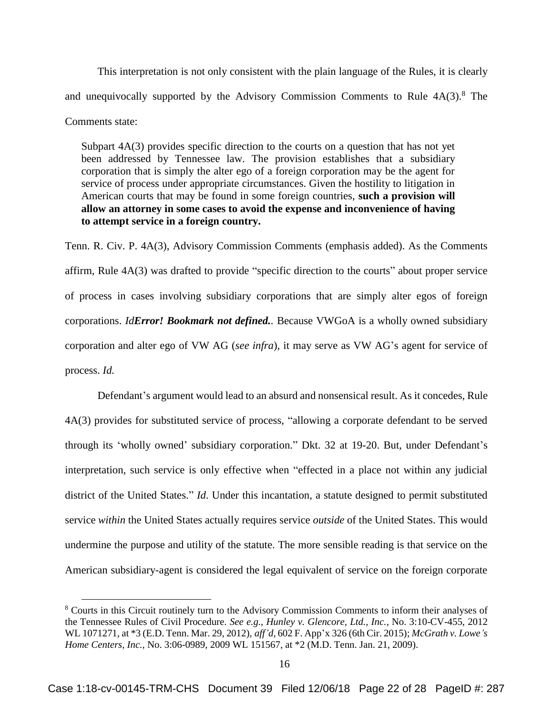This interpretation is not only consistent with the plain language of the Rules, it is clearly and unequivocally supported by the Advisory Commission Comments to Rule  $4A(3)$ .<sup>8</sup> The Comments state:

Subpart 4A(3) provides specific direction to the courts on a question that has not yet been addressed by Tennessee law. The provision establishes that a subsidiary corporation that is simply the alter ego of a foreign corporation may be the agent for service of process under appropriate circumstances. Given the hostility to litigation in American courts that may be found in some foreign countries, **such a provision will allow an attorney in some cases to avoid the expense and inconvenience of having to attempt service in a foreign country.**

Tenn. R. Civ. P. 4A(3), Advisory Commission Comments (emphasis added). As the Comments affirm, Rule 4A(3) was drafted to provide "specific direction to the courts" about proper service of process in cases involving subsidiary corporations that are simply alter egos of foreign corporations. *IdError! Bookmark not defined..* Because VWGoA is a wholly owned subsidiary corporation and alter ego of VW AG (*see infra*), it may serve as VW AG's agent for service of process. *Id.*

Defendant's argument would lead to an absurd and nonsensical result. As it concedes, Rule 4A(3) provides for substituted service of process, "allowing a corporate defendant to be served through its 'wholly owned' subsidiary corporation." Dkt. 32 at 19-20. But, under Defendant's interpretation, such service is only effective when "effected in a place not within any judicial district of the United States." *Id*. Under this incantation, a statute designed to permit substituted service *within* the United States actually requires service *outside* of the United States. This would undermine the purpose and utility of the statute. The more sensible reading is that service on the American subsidiary-agent is considered the legal equivalent of service on the foreign corporate

<sup>8</sup> Courts in this Circuit routinely turn to the Advisory Commission Comments to inform their analyses of the Tennessee Rules of Civil Procedure. *See e.g.*, *Hunley v. Glencore, Ltd., Inc.*, No. 3:10-CV-455, 2012 WL 1071271, at \*3 (E.D. Tenn. Mar. 29, 2012), *aff'd,* 602 F. App'x 326 (6th Cir. 2015); *McGrath v. Lowe's Home Centers, Inc.*, No. 3:06-0989, 2009 WL 151567, at \*2 (M.D. Tenn. Jan. 21, 2009).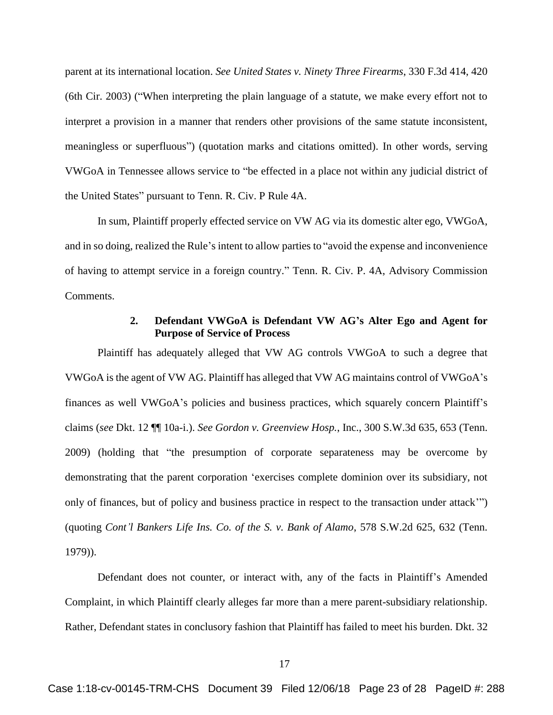parent at its international location. *See United States v. Ninety Three Firearms*, 330 F.3d 414, 420 (6th Cir. 2003) ("When interpreting the plain language of a statute, we make every effort not to interpret a provision in a manner that renders other provisions of the same statute inconsistent, meaningless or superfluous") (quotation marks and citations omitted). In other words, serving VWGoA in Tennessee allows service to "be effected in a place not within any judicial district of the United States" pursuant to Tenn. R. Civ. P Rule 4A.

In sum, Plaintiff properly effected service on VW AG via its domestic alter ego, VWGoA, and in so doing, realized the Rule's intent to allow parties to "avoid the expense and inconvenience of having to attempt service in a foreign country." Tenn. R. Civ. P. 4A, Advisory Commission Comments.

### **2. Defendant VWGoA is Defendant VW AG's Alter Ego and Agent for Purpose of Service of Process**

Plaintiff has adequately alleged that VW AG controls VWGoA to such a degree that VWGoA is the agent of VW AG. Plaintiff has alleged that VW AG maintains control of VWGoA's finances as well VWGoA's policies and business practices, which squarely concern Plaintiff's claims (*see* Dkt. 12 ¶¶ 10a-i.). *See Gordon v. Greenview Hosp.*, Inc., 300 S.W.3d 635, 653 (Tenn. 2009) (holding that "the presumption of corporate separateness may be overcome by demonstrating that the parent corporation 'exercises complete dominion over its subsidiary, not only of finances, but of policy and business practice in respect to the transaction under attack'") (quoting *Cont'l Bankers Life Ins. Co. of the S. v. Bank of Alamo*, 578 S.W.2d 625, 632 (Tenn. 1979)).

Defendant does not counter, or interact with, any of the facts in Plaintiff's Amended Complaint, in which Plaintiff clearly alleges far more than a mere parent-subsidiary relationship. Rather, Defendant states in conclusory fashion that Plaintiff has failed to meet his burden. Dkt. 32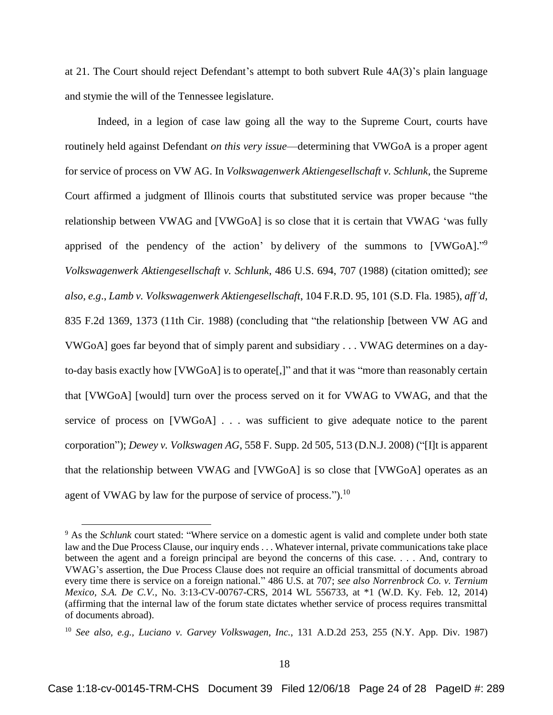at 21. The Court should reject Defendant's attempt to both subvert Rule 4A(3)'s plain language and stymie the will of the Tennessee legislature.

Indeed, in a legion of case law going all the way to the Supreme Court, courts have routinely held against Defendant *on this very issue*—determining that VWGoA is a proper agent for service of process on VW AG. In *Volkswagenwerk Aktiengesellschaft v. Schlunk*, the Supreme Court affirmed a judgment of Illinois courts that substituted service was proper because "the relationship between VWAG and [VWGoA] is so close that it is certain that VWAG 'was fully apprised of the pendency of the action' by delivery of the summons to [VWGoA]."<sup>9</sup> *Volkswagenwerk Aktiengesellschaft v. Schlunk*, 486 U.S. 694, 707 (1988) (citation omitted); *see also*, *e.g*., *Lamb v. Volkswagenwerk Aktiengesellschaft*, 104 F.R.D. 95, 101 (S.D. Fla. 1985), *aff'd*, 835 F.2d 1369, 1373 (11th Cir. 1988) (concluding that "the relationship [between VW AG and VWGoA] goes far beyond that of simply parent and subsidiary . . . VWAG determines on a dayto-day basis exactly how [VWGoA] is to operate[,]" and that it was "more than reasonably certain that [VWGoA] [would] turn over the process served on it for VWAG to VWAG, and that the service of process on [VWGoA] . . . was sufficient to give adequate notice to the parent corporation"); *Dewey v. Volkswagen AG*, 558 F. Supp. 2d 505, 513 (D.N.J. 2008) ("[I]t is apparent that the relationship between VWAG and [VWGoA] is so close that [VWGoA] operates as an agent of VWAG by law for the purpose of service of process.").<sup>10</sup>

<sup>&</sup>lt;sup>9</sup> As the *Schlunk* court stated: "Where service on a domestic agent is valid and complete under both state law and the Due Process Clause, our inquiry ends . . . Whatever internal, private communications take place between the agent and a foreign principal are beyond the concerns of this case. . . . And, contrary to VWAG's assertion, the Due Process Clause does not require an official transmittal of documents abroad every time there is service on a foreign national." 486 U.S. at 707; *see also Norrenbrock Co. v. Ternium Mexico, S.A. De C.V.*, No. 3:13-CV-00767-CRS, 2014 WL 556733, at \*1 (W.D. Ky. Feb. 12, 2014) (affirming that the internal law of the forum state dictates whether service of process requires transmittal of documents abroad).

<sup>10</sup> *See also, e.g., Luciano v. Garvey Volkswagen, Inc.*, 131 A.D.2d 253, 255 (N.Y. App. Div. 1987)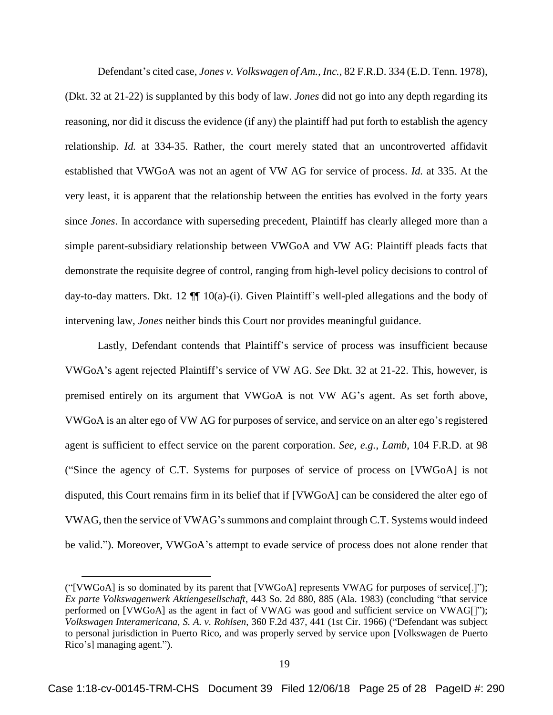Defendant's cited case, *Jones v. Volkswagen of Am., Inc.*, 82 F.R.D. 334 (E.D. Tenn. 1978), (Dkt. 32 at 21-22) is supplanted by this body of law. *Jones* did not go into any depth regarding its reasoning, nor did it discuss the evidence (if any) the plaintiff had put forth to establish the agency relationship. *Id.* at 334-35. Rather, the court merely stated that an uncontroverted affidavit established that VWGoA was not an agent of VW AG for service of process. *Id.* at 335. At the very least, it is apparent that the relationship between the entities has evolved in the forty years since *Jones*. In accordance with superseding precedent, Plaintiff has clearly alleged more than a simple parent-subsidiary relationship between VWGoA and VW AG: Plaintiff pleads facts that demonstrate the requisite degree of control, ranging from high-level policy decisions to control of day-to-day matters. Dkt. 12  $\P$  10(a)-(i). Given Plaintiff's well-pled allegations and the body of intervening law, *Jones* neither binds this Court nor provides meaningful guidance.

Lastly, Defendant contends that Plaintiff's service of process was insufficient because VWGoA's agent rejected Plaintiff's service of VW AG. *See* Dkt. 32 at 21-22. This, however, is premised entirely on its argument that VWGoA is not VW AG's agent. As set forth above, VWGoA is an alter ego of VW AG for purposes of service, and service on an alter ego's registered agent is sufficient to effect service on the parent corporation. *See, e.g.*, *Lamb*, 104 F.R.D. at 98 ("Since the agency of C.T. Systems for purposes of service of process on [VWGoA] is not disputed, this Court remains firm in its belief that if [VWGoA] can be considered the alter ego of VWAG, then the service of VWAG's summons and complaint through C.T. Systems would indeed be valid."). Moreover, VWGoA's attempt to evade service of process does not alone render that

<sup>(&</sup>quot;[VWGoA] is so dominated by its parent that [VWGoA] represents VWAG for purposes of service[.]"); *Ex parte Volkswagenwerk Aktiengesellschaft*, 443 So. 2d 880, 885 (Ala. 1983) (concluding "that service performed on [VWGoA] as the agent in fact of VWAG was good and sufficient service on VWAG[]"); *Volkswagen Interamericana, S. A. v. Rohlsen*, 360 F.2d 437, 441 (1st Cir. 1966) ("Defendant was subject to personal jurisdiction in Puerto Rico, and was properly served by service upon [Volkswagen de Puerto Rico's] managing agent.").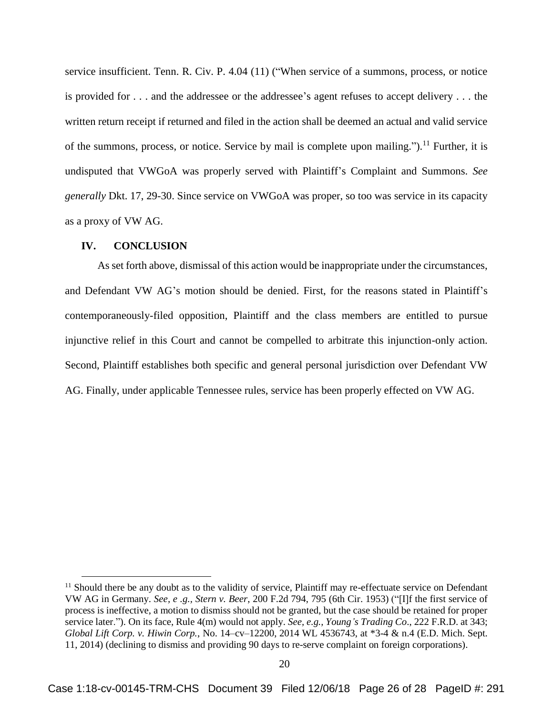service insufficient. Tenn. R. Civ. P. 4.04 (11) ("When service of a summons, process, or notice is provided for . . . and the addressee or the addressee's agent refuses to accept delivery . . . the written return receipt if returned and filed in the action shall be deemed an actual and valid service of the summons, process, or notice. Service by mail is complete upon mailing.").<sup>11</sup> Further, it is undisputed that VWGoA was properly served with Plaintiff's Complaint and Summons. *See generally* Dkt. 17, 29-30. Since service on VWGoA was proper, so too was service in its capacity as a proxy of VW AG.

#### **IV. CONCLUSION**

 $\overline{a}$ 

As set forth above, dismissal of this action would be inappropriate under the circumstances, and Defendant VW AG's motion should be denied. First, for the reasons stated in Plaintiff's contemporaneously-filed opposition, Plaintiff and the class members are entitled to pursue injunctive relief in this Court and cannot be compelled to arbitrate this injunction-only action. Second, Plaintiff establishes both specific and general personal jurisdiction over Defendant VW AG. Finally, under applicable Tennessee rules, service has been properly effected on VW AG.

<sup>&</sup>lt;sup>11</sup> Should there be any doubt as to the validity of service, Plaintiff may re-effectuate service on Defendant VW AG in Germany. *See, e .g., Stern v. Beer*[, 200 F.2d 794, 795 \(6th Cir. 1953\)](https://1.next.westlaw.com/Link/Document/FullText?findType=Y&serNum=1953119721&pubNum=0000350&originatingDoc=If66013b0194c11e79eadef7f77b52ba6&refType=RP&fi=co_pp_sp_350_795&originationContext=document&transitionType=DocumentItem&contextData=(sc.Keycite)#co_pp_sp_350_795) ("[I]f the first service of process is ineffective, a motion to dismiss should not be granted, but the case should be retained for proper service later."). On its face, Rule 4(m) would not apply. *See, e.g., Young's Trading Co*., 222 F.R.D. at 343; *Global Lift Corp. v. Hiwin Corp.*, No. 14–cv–12200, 2014 WL 4536743, at \*3-4 & n.4 (E.D. Mich. Sept. 11, 2014) (declining to dismiss and providing 90 days to re-serve complaint on foreign corporations).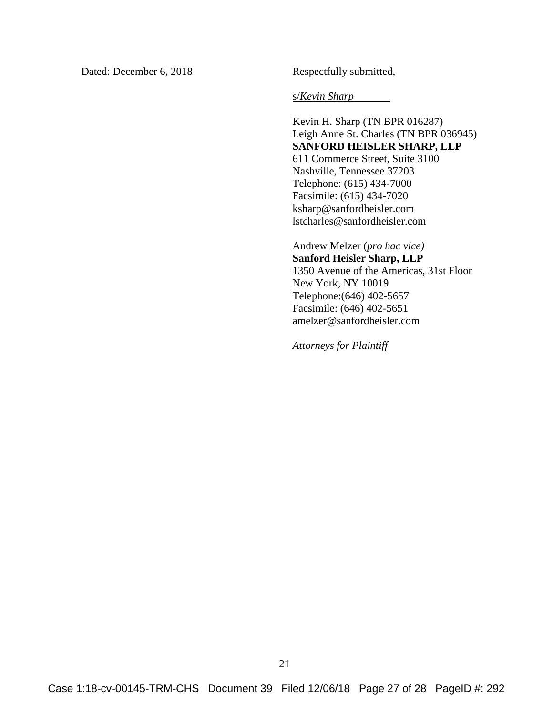Dated: December 6, 2018 Respectfully submitted,

s/*Kevin Sharp*

Kevin H. Sharp (TN BPR 016287) Leigh Anne St. Charles (TN BPR 036945) **SANFORD HEISLER SHARP, LLP** 611 Commerce Street, Suite 3100 Nashville, Tennessee 37203 Telephone: (615) 434-7000 Facsimile: (615) 434-7020 ksharp@sanfordheisler.com lstcharles@sanfordheisler.com

Andrew Melzer (*pro hac vice)* **Sanford Heisler Sharp, LLP** 1350 Avenue of the Americas, 31st Floor New York, NY 10019 Telephone:(646) 402-5657 Facsimile: (646) 402-5651 amelzer@sanfordheisler.com

*Attorneys for Plaintiff*